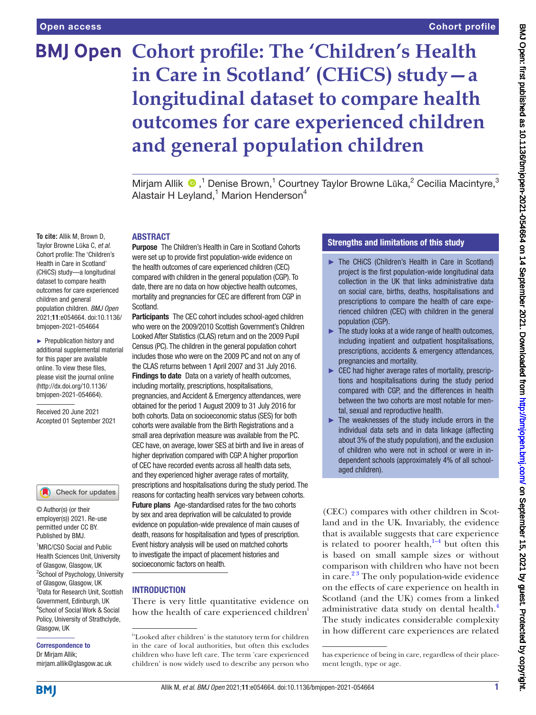# **BMJ Open Cohort profile: The 'Children's Health in Care in Scotland' (CHiCS) study—a longitudinal dataset to compare health outcomes for care experienced children and general population children**

MirjamAllik <sup>®</sup>,<sup>1</sup> Denise Brown,<sup>1</sup> Courtney Taylor Browne Lūka,<sup>2</sup> Cecilia Macintyre,<sup>3</sup> Alastair H Leyland, $^1$  Marion Henderson $^4$ 

#### ABSTRACT

**Purpose** The Children's Health in Care in Scotland Cohorts were set up to provide first population-wide evidence on the health outcomes of care experienced children (CEC) compared with children in the general population (CGP). To date, there are no data on how objective health outcomes, mortality and pregnancies for CEC are different from CGP in Scotland.

Participants The CEC cohort includes school-aged children who were on the 2009/2010 Scottish Government's Children Looked After Statistics (CLAS) return and on the 2009 Pupil Census (PC). The children in the general population cohort includes those who were on the 2009 PC and not on any of the CLAS returns between 1 April 2007 and 31 July 2016. Findings to date Data on a variety of health outcomes, including mortality, prescriptions, hospitalisations, pregnancies, and Accident & Emergency attendances, were obtained for the period 1 August 2009 to 31 July 2016 for both cohorts. Data on socioeconomic status (SES) for both cohorts were available from the Birth Registrations and a small area deprivation measure was available from the PC. CEC have, on average, lower SES at birth and live in areas of higher deprivation compared with CGP. A higher proportion of CEC have recorded events across all health data sets, and they experienced higher average rates of mortality, prescriptions and hospitalisations during the study period. The reasons for contacting health services vary between cohorts. Future plans Age-standardised rates for the two cohorts by sex and area deprivation will be calculated to provide evidence on population-wide prevalence of main causes of death, reasons for hospitalisation and types of prescription. Event history analysis will be used on matched cohorts to investigate the impact of placement histories and socioeconomic factors on health.

# **INTRODUCTION**

There is very little quantitative evidence on how the health of care experienced children<sup>1</sup>

# Strengths and limitations of this study

- ► The CHiCS (Children's Health in Care in Scotland) project is the first population-wide longitudinal data collection in the UK that links administrative data on social care, births, deaths, hospitalisations and prescriptions to compare the health of care experienced children (CEC) with children in the general population (CGP).
- $\blacktriangleright$  The study looks at a wide range of health outcomes, including inpatient and outpatient hospitalisations, prescriptions, accidents & emergency attendances, pregnancies and mortality.
- ► CEC had higher average rates of mortality, prescriptions and hospitalisations during the study period compared with CGP, and the differences in health between the two cohorts are most notable for mental, sexual and reproductive health.
- ► The weaknesses of the study include errors in the individual data sets and in data linkage (affecting about 3% of the study population), and the exclusion of children who were not in school or were in independent schools (approximately 4% of all schoolaged children).

(CEC) compares with other children in Scotland and in the UK. Invariably, the evidence that is available suggests that care experience is related to poorer health, $1-4$  but often this is based on small sample sizes or without comparison with children who have not been in care. $2<sup>3</sup>$  The only population-wide evidence on the effects of care experience on health in Scotland (and the UK) comes from a linked administrative data study on dental health.<sup>4</sup> The study indicates considerable complexity in how different care experiences are related

**To cite:** Allik M, Brown D, Taylor Browne Lūka C, *et al*. Cohort profile: The 'Children's Health in Care in Scotland' (CHiCS) study—a longitudinal dataset to compare health outcomes for care experienced children and general population children. *BMJ Open* 2021;11:e054664. doi:10.1136/ bmjopen-2021-054664 ► Prepublication history and

additional supplemental material for this paper are available online. To view these files, please visit the journal online [\(http://dx.doi.org/10.1136/](http://dx.doi.org/10.1136/bmjopen-2021-054664) [bmjopen-2021-054664](http://dx.doi.org/10.1136/bmjopen-2021-054664)).

Received 20 June 2021 Accepted 01 September 2021



© Author(s) (or their employer(s)) 2021. Re-use permitted under CC BY. Published by BMJ.

1 MRC/CSO Social and Public Health Sciences Unit, University of Glasgow, Glasgow, UK <sup>2</sup>School of Psychology, University of Glasgow, Glasgow, UK 3 Data for Research Unit, Scottish Government, Edinburgh, UK 4 School of Social Work & Social Policy, University of Strathclyde, Glasgow, UK

Correspondence to Dr Mirjam Allik; mirjam.allik@glasgow.ac.uk

<sup>&</sup>lt;sup>i</sup>'Looked after children' is the statutory term for children in the care of local authorities, but often this excludes children who have left care. The term 'care experienced children' is now widely used to describe any person who

has experience of being in care, regardless of their placement length, type or age.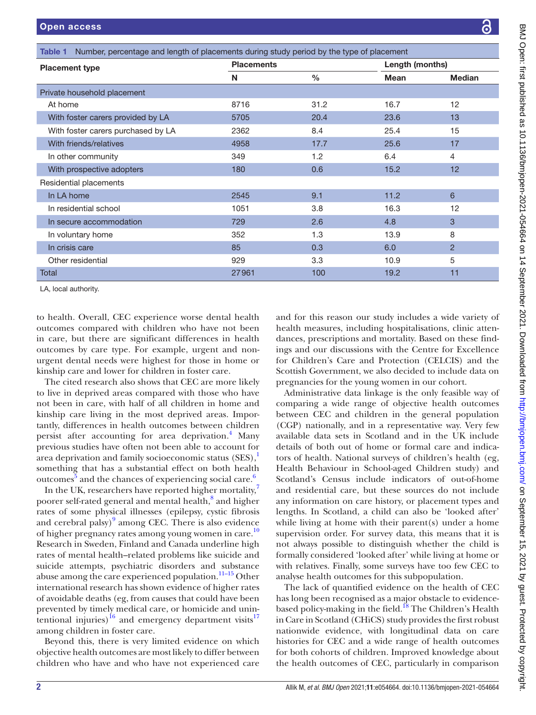<span id="page-1-0"></span>

| Number, percentage and length of placements during study period by the type of placement<br>Table 1                                                                                                                                                                                                                                                                                  |                   |               |                 |                |
|--------------------------------------------------------------------------------------------------------------------------------------------------------------------------------------------------------------------------------------------------------------------------------------------------------------------------------------------------------------------------------------|-------------------|---------------|-----------------|----------------|
| <b>Placement type</b>                                                                                                                                                                                                                                                                                                                                                                | <b>Placements</b> |               | Length (months) |                |
|                                                                                                                                                                                                                                                                                                                                                                                      | N                 | $\frac{0}{0}$ | <b>Mean</b>     | <b>Median</b>  |
| Private household placement                                                                                                                                                                                                                                                                                                                                                          |                   |               |                 |                |
| At home                                                                                                                                                                                                                                                                                                                                                                              | 8716              | 31.2          | 16.7            | 12             |
| With foster carers provided by LA                                                                                                                                                                                                                                                                                                                                                    | 5705              | 20.4          | 23.6            | 13             |
| With foster carers purchased by LA                                                                                                                                                                                                                                                                                                                                                   | 2362              | 8.4           | 25.4            | 15             |
| With friends/relatives                                                                                                                                                                                                                                                                                                                                                               | 4958              | 17.7          | 25.6            | 17             |
| In other community                                                                                                                                                                                                                                                                                                                                                                   | 349               | 1.2           | 6.4             | 4              |
| With prospective adopters                                                                                                                                                                                                                                                                                                                                                            | 180               | 0.6           | 15.2            | 12             |
| Residential placements                                                                                                                                                                                                                                                                                                                                                               |                   |               |                 |                |
| In LA home                                                                                                                                                                                                                                                                                                                                                                           | 2545              | 9.1           | 11.2            | 6              |
| In residential school                                                                                                                                                                                                                                                                                                                                                                | 1051              | 3.8           | 16.3            | 12             |
| In secure accommodation                                                                                                                                                                                                                                                                                                                                                              | 729               | 2.6           | 4.8             | 3              |
| In voluntary home                                                                                                                                                                                                                                                                                                                                                                    | 352               | 1.3           | 13.9            | 8              |
| In crisis care                                                                                                                                                                                                                                                                                                                                                                       | 85                | 0.3           | 6.0             | $\overline{2}$ |
| Other residential                                                                                                                                                                                                                                                                                                                                                                    | 929               | 3.3           | 10.9            | 5              |
| Total                                                                                                                                                                                                                                                                                                                                                                                | 27961             | 100           | 19.2            | 11             |
| $\overline{1}$ $\overline{0}$ $\overline{1}$ $\overline{2}$ $\overline{3}$ $\overline{4}$ $\overline{1}$ $\overline{2}$ $\overline{2}$ $\overline{3}$ $\overline{4}$ $\overline{2}$ $\overline{2}$ $\overline{3}$ $\overline{4}$ $\overline{2}$ $\overline{2}$ $\overline{2}$ $\overline{3}$ $\overline{4}$ $\overline{2}$ $\overline{2}$ $\overline{2}$ $\overline{3}$ $\overline{$ |                   |               |                 |                |

LA, local authority.

to health. Overall, CEC experience worse dental health outcomes compared with children who have not been in care, but there are significant differences in health outcomes by care type. For example, urgent and nonurgent dental needs were highest for those in home or kinship care and lower for children in foster care.

The cited research also shows that CEC are more likely to live in deprived areas compared with those who have not been in care, with half of all children in home and kinship care living in the most deprived areas. Importantly, differences in health outcomes between children persist after accounting for area deprivation.<sup>4</sup> Many previous studies have often not been able to account for area deprivation and family socioeconomic status  $(SES)$ ,<sup>[1](#page-11-0)</sup> something that has a substantial effect on both health outcomes<sup>[5](#page-11-3)</sup> and the chances of experiencing social care.<sup>[6](#page-11-4)</sup>

In the UK, researchers have reported higher mortality, $^7$  $^7$ poorer self-rated general and mental health,<sup>[8](#page-11-6)</sup> and higher rates of some physical illnesses (epilepsy, cystic fibrosis and cerebral palsy) $9$  among CEC. There is also evidence of higher pregnancy rates among young women in care.<sup>[10](#page-11-8)</sup> Research in Sweden, Finland and Canada underline high rates of mental health–related problems like suicide and suicide attempts, psychiatric disorders and substance abuse among the care experienced population.<sup>11-15</sup> Other international research has shown evidence of higher rates of avoidable deaths (eg, from causes that could have been prevented by timely medical care, or homicide and unintentional injuries)<sup>16</sup> and emergency department visits<sup>17</sup> among children in foster care.

Beyond this, there is very limited evidence on which objective health outcomes are most likely to differ between children who have and who have not experienced care

and for this reason our study includes a wide variety of health measures, including hospitalisations, clinic attendances, prescriptions and mortality. Based on these findings and our discussions with the Centre for Excellence for Children's Care and Protection (CELCIS) and the Scottish Government, we also decided to include data on pregnancies for the young women in our cohort.

Administrative data linkage is the only feasible way of comparing a wide range of objective health outcomes between CEC and children in the general population (CGP) nationally, and in a representative way. Very few available data sets in Scotland and in the UK include details of both out of home or formal care and indicators of health. National surveys of children's health (eg, Health Behaviour in School-aged Children study) and Scotland's Census include indicators of out-of-home and residential care, but these sources do not include any information on care history, or placement types and lengths. In Scotland, a child can also be 'looked after' while living at home with their parent(s) under a home supervision order. For survey data, this means that it is not always possible to distinguish whether the child is formally considered 'looked after' while living at home or with relatives. Finally, some surveys have too few CEC to analyse health outcomes for this subpopulation.

The lack of quantified evidence on the health of CEC has long been recognised as a major obstacle to evidence-based policy-making in the field.<sup>[18](#page-11-12)</sup> The Children's Health in Care in Scotland (CHiCS) study provides the first robust nationwide evidence, with longitudinal data on care histories for CEC and a wide range of health outcomes for both cohorts of children. Improved knowledge about the health outcomes of CEC, particularly in comparison

ä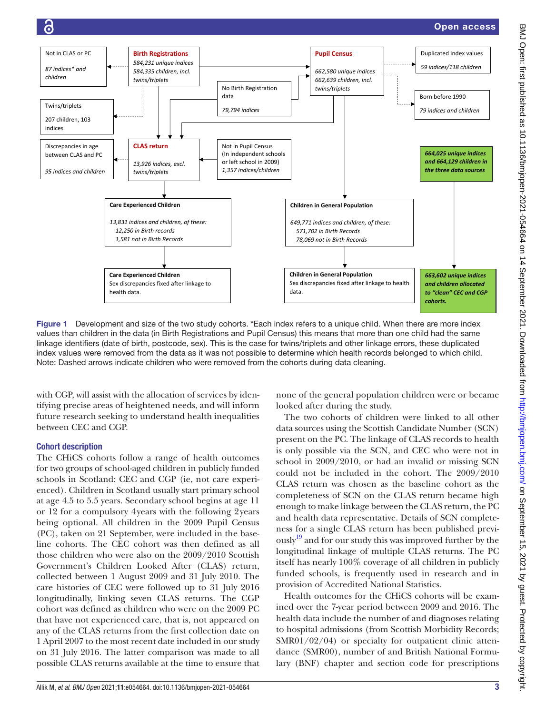

<span id="page-2-0"></span>Figure 1 Development and size of the two study cohorts. \*Each index refers to a unique child. When there are more index values than children in the data (in Birth Registrations and Pupil Census) this means that more than one child had the same linkage identifiers (date of birth, postcode, sex). This is the case for twins/triplets and other linkage errors, these duplicated index values were removed from the data as it was not possible to determine which health records belonged to which child. Note: Dashed arrows indicate children who were removed from the cohorts during data cleaning.

with CGP, will assist with the allocation of services by identifying precise areas of heightened needs, and will inform future research seeking to understand health inequalities between CEC and CGP.

# Cohort description

The CHiCS cohorts follow a range of health outcomes for two groups of school-aged children in publicly funded schools in Scotland: CEC and CGP (ie, not care experienced). Children in Scotland usually start primary school at age 4.5 to 5.5 years. Secondary school begins at age 11 or 12 for a compulsory 4years with the following 2years being optional. All children in the 2009 Pupil Census (PC), taken on 21 September, were included in the baseline cohorts. The CEC cohort was then defined as all those children who were also on the 2009/2010 Scottish Government's Children Looked After (CLAS) return, collected between 1 August 2009 and 31 July 2010. The care histories of CEC were followed up to 31 July 2016 longitudinally, linking seven CLAS returns. The CGP cohort was defined as children who were on the 2009 PC that have not experienced care, that is, not appeared on any of the CLAS returns from the first collection date on 1 April 2007 to the most recent date included in our study on 31 July 2016. The latter comparison was made to all possible CLAS returns available at the time to ensure that

none of the general population children were or became looked after during the study.

The two cohorts of children were linked to all other data sources using the Scottish Candidate Number (SCN) present on the PC. The linkage of CLAS records to health is only possible via the SCN, and CEC who were not in school in 2009/2010, or had an invalid or missing SCN could not be included in the cohort. The 2009/2010 CLAS return was chosen as the baseline cohort as the completeness of SCN on the CLAS return became high enough to make linkage between the CLAS return, the PC and health data representative. Details of SCN completeness for a single CLAS return has been published previ- $\frac{1}{9}$  and for our study this was improved further by the longitudinal linkage of multiple CLAS returns. The PC itself has nearly 100% coverage of all children in publicly funded schools, is frequently used in research and in provision of Accredited National Statistics.

Health outcomes for the CHiCS cohorts will be examined over the 7-year period between 2009 and 2016. The health data include the number of and diagnoses relating to hospital admissions (from Scottish Morbidity Records; SMR01/02/04) or specialty for outpatient clinic attendance (SMR00), number of and British National Formulary (BNF) chapter and section code for prescriptions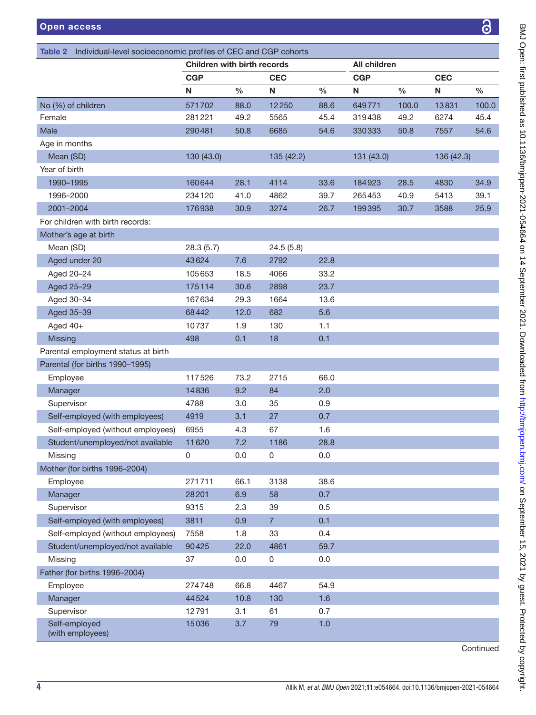<span id="page-3-0"></span>

| Individual-level socioeconomic profiles of CEC and CGP cohorts<br>Table 2 |                             |               |                |      |              |       |            |       |
|---------------------------------------------------------------------------|-----------------------------|---------------|----------------|------|--------------|-------|------------|-------|
|                                                                           | Children with birth records |               |                |      | All children |       |            |       |
|                                                                           | <b>CGP</b>                  |               | <b>CEC</b>     |      | <b>CGP</b>   |       | <b>CEC</b> |       |
|                                                                           | N                           | $\frac{0}{0}$ | N              | $\%$ | N            | $\%$  | N          | $\%$  |
| No (%) of children                                                        | 571702                      | 88.0          | 12250          | 88.6 | 649771       | 100.0 | 13831      | 100.0 |
| Female                                                                    | 281221                      | 49.2          | 5565           | 45.4 | 319438       | 49.2  | 6274       | 45.4  |
| Male                                                                      | 290481                      | 50.8          | 6685           | 54.6 | 330333       | 50.8  | 7557       | 54.6  |
| Age in months                                                             |                             |               |                |      |              |       |            |       |
| Mean (SD)                                                                 | 130 (43.0)                  |               | 135 (42.2)     |      | 131 (43.0)   |       | 136 (42.3) |       |
| Year of birth                                                             |                             |               |                |      |              |       |            |       |
| 1990-1995                                                                 | 160644                      | 28.1          | 4114           | 33.6 | 184923       | 28.5  | 4830       | 34.9  |
| 1996-2000                                                                 | 234120                      | 41.0          | 4862           | 39.7 | 265453       | 40.9  | 5413       | 39.1  |
| 2001-2004                                                                 | 176938                      | 30.9          | 3274           | 26.7 | 199395       | 30.7  | 3588       | 25.9  |
| For children with birth records:                                          |                             |               |                |      |              |       |            |       |
| Mother's age at birth                                                     |                             |               |                |      |              |       |            |       |
| Mean (SD)                                                                 | 28.3(5.7)                   |               | 24.5(5.8)      |      |              |       |            |       |
| Aged under 20                                                             | 43624                       | 7.6           | 2792           | 22.8 |              |       |            |       |
| Aged 20-24                                                                | 105653                      | 18.5          | 4066           | 33.2 |              |       |            |       |
| Aged 25-29                                                                | 175114                      | 30.6          | 2898           | 23.7 |              |       |            |       |
| Aged 30-34                                                                | 167634                      | 29.3          | 1664           | 13.6 |              |       |            |       |
| Aged 35-39                                                                | 68442                       | 12.0          | 682            | 5.6  |              |       |            |       |
| Aged 40+                                                                  | 10737                       | 1.9           | 130            | 1.1  |              |       |            |       |
| <b>Missing</b>                                                            | 498                         | 0.1           | 18             | 0.1  |              |       |            |       |
| Parental employment status at birth                                       |                             |               |                |      |              |       |            |       |
| Parental (for births 1990-1995)                                           |                             |               |                |      |              |       |            |       |
| Employee                                                                  | 117526                      | 73.2          | 2715           | 66.0 |              |       |            |       |
| Manager                                                                   | 14836                       | 9.2           | 84             | 2.0  |              |       |            |       |
| Supervisor                                                                | 4788                        | 3.0           | 35             | 0.9  |              |       |            |       |
| Self-employed (with employees)                                            | 4919                        | 3.1           | 27             | 0.7  |              |       |            |       |
| Self-employed (without employees)                                         | 6955                        | 4.3           | 67             | 1.6  |              |       |            |       |
| Student/unemployed/not available                                          | 11620                       | 7.2           | 1186           | 28.8 |              |       |            |       |
| Missing                                                                   | 0                           | 0.0           | 0              | 0.0  |              |       |            |       |
| Mother (for births 1996-2004)                                             |                             |               |                |      |              |       |            |       |
| Employee                                                                  | 271711                      | 66.1          | 3138           | 38.6 |              |       |            |       |
| Manager                                                                   | 28201                       | 6.9           | 58             | 0.7  |              |       |            |       |
| Supervisor                                                                | 9315                        | 2.3           | 39             | 0.5  |              |       |            |       |
| Self-employed (with employees)                                            | 3811                        | 0.9           | $\overline{7}$ | 0.1  |              |       |            |       |
| Self-employed (without employees)                                         | 7558                        | 1.8           | 33             | 0.4  |              |       |            |       |
| Student/unemployed/not available                                          | 90425                       | 22.0          | 4861           | 59.7 |              |       |            |       |
|                                                                           |                             |               |                |      |              |       |            |       |
| Missing                                                                   | 37                          | 0.0           | 0              | 0.0  |              |       |            |       |
| Father (for births 1996-2004)                                             |                             |               |                |      |              |       |            |       |
| Employee                                                                  | 274748                      | 66.8          | 4467           | 54.9 |              |       |            |       |
| Manager                                                                   | 44524                       | 10.8          | 130            | 1.6  |              |       |            |       |
| Supervisor                                                                | 12791                       | 3.1           | 61             | 0.7  |              |       |            |       |
| Self-employed<br>(with employees)                                         | 15036                       | 3.7           | 79             | 1.0  |              |       |            |       |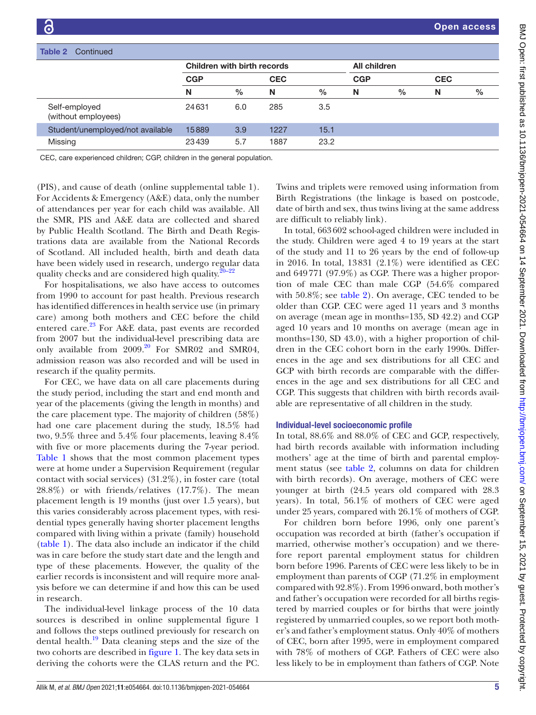| Table 2<br>Continued                 |                             |               |            |               |              |               |            |      |
|--------------------------------------|-----------------------------|---------------|------------|---------------|--------------|---------------|------------|------|
|                                      | Children with birth records |               |            |               | All children |               |            |      |
|                                      | <b>CGP</b>                  |               | <b>CEC</b> |               | <b>CGP</b>   |               | <b>CEC</b> |      |
|                                      | N                           | $\frac{0}{0}$ | N          | $\frac{0}{0}$ | N            | $\frac{0}{0}$ | N          | $\%$ |
| Self-employed<br>(without employees) | 24631                       | 6.0           | 285        | 3.5           |              |               |            |      |
| Student/unemployed/not available     | 15889                       | 3.9           | 1227       | 15.1          |              |               |            |      |
| Missing                              | 23439                       | 5.7           | 1887       | 23.2          |              |               |            |      |

CEC, care experienced children; CGP, children in the general population.

(PIS), and cause of death ([online supplemental table 1](https://dx.doi.org/10.1136/bmjopen-2021-054664)). For Accidents & Emergency (A&E) data, only the number of attendances per year for each child was available. All the SMR, PIS and A&E data are collected and shared by Public Health Scotland. The Birth and Death Registrations data are available from the National Records of Scotland. All included health, birth and death data have been widely used in research, undergo regular data quality checks and are considered high quality.<sup>[20–22](#page-11-14)</sup>

For hospitalisations, we also have access to outcomes from 1990 to account for past health. Previous research has identified differences in health service use (in primary care) among both mothers and CEC before the child entered care.<sup>23</sup> For A&E data, past events are recorded from 2007 but the individual-level prescribing data are only available from  $2009$ .<sup>20</sup> For SMR02 and SMR04, admission reason was also recorded and will be used in research if the quality permits.

For CEC, we have data on all care placements during the study period, including the start and end month and year of the placements (giving the length in months) and the care placement type. The majority of children (58%) had one care placement during the study, 18.5% had two, 9.5% three and 5.4% four placements, leaving 8.4% with five or more placements during the 7-year period. [Table](#page-1-0) 1 shows that the most common placement types were at home under a Supervision Requirement (regular contact with social services) (31.2%), in foster care (total 28.8%) or with friends/relatives (17.7%). The mean placement length is 19 months (just over 1.5 years), but this varies considerably across placement types, with residential types generally having shorter placement lengths compared with living within a private (family) household ([table](#page-1-0) 1). The data also include an indicator if the child was in care before the study start date and the length and type of these placements. However, the quality of the earlier records is inconsistent and will require more analysis before we can determine if and how this can be used in research.

The individual-level linkage process of the 10 data sources is described in [online supplemental figure 1](https://dx.doi.org/10.1136/bmjopen-2021-054664) and follows the steps outlined previously for research on dental health. $19$  Data cleaning steps and the size of the two cohorts are described in [figure](#page-2-0) 1. The key data sets in deriving the cohorts were the CLAS return and the PC.

Twins and triplets were removed using information from Birth Registrations (the linkage is based on postcode, date of birth and sex, thus twins living at the same address are difficult to reliably link).

In total, 663602 school-aged children were included in the study. Children were aged 4 to 19 years at the start of the study and 11 to 26 years by the end of follow-up in 2016. In total, 13831 (2.1%) were identified as CEC and 649771 (97.9%) as CGP. There was a higher proportion of male CEC than male CGP (54.6% compared with 50.8%; see [table](#page-3-0) 2). On average, CEC tended to be older than CGP. CEC were aged 11 years and 3 months on average (mean age in months=135, SD 42.2) and CGP aged 10 years and 10 months on average (mean age in months=130, SD 43.0), with a higher proportion of children in the CEC cohort born in the early 1990s. Differences in the age and sex distributions for all CEC and GCP with birth records are comparable with the differences in the age and sex distributions for all CEC and CGP. This suggests that children with birth records available are representative of all children in the study.

# Individual-level socioeconomic profile

In total, 88.6% and 88.0% of CEC and GCP, respectively, had birth records available with information including mothers' age at the time of birth and parental employment status (see [table](#page-3-0) 2, columns on data for children with birth records). On average, mothers of CEC were younger at birth (24.5 years old compared with 28.3 years). In total, 56.1% of mothers of CEC were aged under 25 years, compared with 26.1% of mothers of CGP.

For children born before 1996, only one parent's occupation was recorded at birth (father's occupation if married, otherwise mother's occupation) and we therefore report parental employment status for children born before 1996. Parents of CEC were less likely to be in employment than parents of CGP (71.2% in employment compared with 92.8%). From 1996 onward, both mother's and father's occupation were recorded for all births registered by married couples or for births that were jointly registered by unmarried couples, so we report both mother's and father's employment status. Only 40% of mothers of CEC, born after 1995, were in employment compared with 78% of mothers of CGP. Fathers of CEC were also less likely to be in employment than fathers of CGP. Note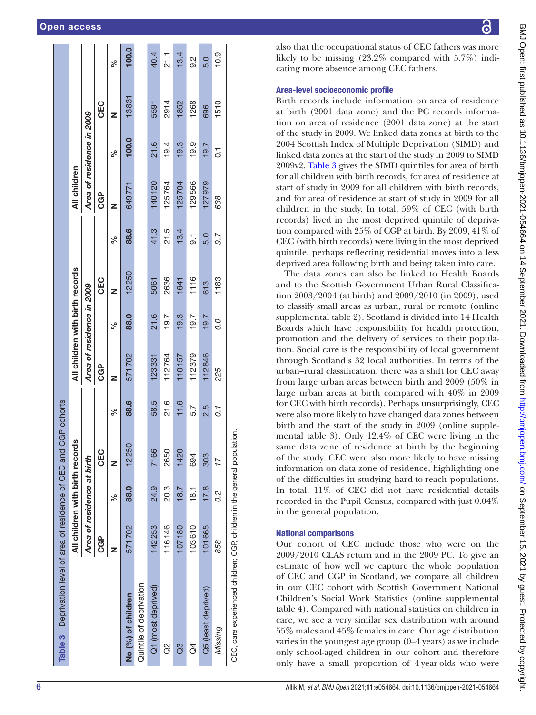|                         | All children with birth record |      | <u> ဟ</u>  |      | All children with birth records |      |       |      | All children |                           |       |           |
|-------------------------|--------------------------------|------|------------|------|---------------------------------|------|-------|------|--------------|---------------------------|-------|-----------|
|                         |                                |      |            |      |                                 |      |       |      |              |                           |       |           |
|                         | Area of residence at birth     |      |            |      | Area of residence in 2009       |      |       |      |              | Area of residence in 2009 |       |           |
|                         | <b>CGP</b>                     |      | <b>CEC</b> |      | <b>CGP</b>                      |      | CEC   |      | <b>CGP</b>   |                           | CEC   |           |
|                         |                                | ℅    | z          | ್    | z                               | వ్   | z     | ್ಧೆ  | z            | ್ಗೆ                       | z     | ℅         |
| No (%) of children      | 571702                         | 88.0 | 12250      | 88.6 | 571702                          | 88.0 | 12250 | 88.6 | 649771       | 100.0                     | 13831 | 100.0     |
| Quintile of deprivation |                                |      |            |      |                                 |      |       |      |              |                           |       |           |
| Q1 (most deprived)      | 142253                         | 24.9 | 7166       | 58.5 | 123331                          | 21.6 | 5061  | 41.3 | 140120       | 21.6                      | 5591  | 40.4      |
| g                       | 116146                         | 20.3 | 2650       | 21.6 | 112764                          | 19.7 | 2636  | 21.5 | 125764       | 19.4                      | 2914  | 21.1      |
| 3                       | 107180                         | 18.7 | 1420       | 11.6 | 110157                          | 19.3 | 1641  | 13.4 | 125704       | 19.3                      | 1852  | 13.4      |
| $\beta$                 | 103610                         | 18.1 | 694        | 5.7  | 112379                          | 19.7 | 1116  | 5.   | 129566       | 19.9                      | 1268  | <u>റ്</u> |
| Q5 (least deprived)     | 101665                         | 17.8 | 303        | 2.5  | 112846                          | 19.7 | 613   | 5.0  | 127979       | 19.7                      | 696   | 5.0       |
| Missing                 | 858                            | 0.2  | 17         | 0.1  | 225                             | O.O  | 1183  | 9.7  | 638          | 5                         | 1510  | 10.9      |

BMJ Open: first published as 10.1136/bmjopen-2021-054664 on 14 September 2021. Downloaded from http://bmjopen.bmj.com/ on September 15, BMJ Open: first published as 10.1136/bmjopen-2021-054664 on 14 September 2021. Downloaded from Http://bmjopen.bmj.com/ Beptember 15, 2021 by guest. Protected by copyright. 2021 by guest. Protected by copyright

also that the occupational status of CEC fathers was more likely to be missing (23.2% compared with 5.7%) indicating more absence among CEC fathers.

# Area-level socioeconomic profile

Birth records include information on area of residence at birth (2001 data zone) and the PC records information on area of residence (2001 data zone) at the start of the study in 2009. We linked data zones at birth to the 2004 Scottish Index of Multiple Deprivation (SIMD) and linked data zones at the start of the study in 2009 to SIMD 2009v2. [Table](#page-5-0) 3 gives the SIMD quintiles for area of birth for all children with birth records, for area of residence at start of study in 2009 for all children with birth records, and for area of residence at start of study in 2009 for all children in the study. In total, 59% of CEC (with birth records) lived in the most deprived quintile of deprivation compared with 25% of CGP at birth. By 2009, 41% of CEC (with birth records) were living in the most deprived quintile, perhaps reflecting residential moves into a less deprived area following birth and being taken into care.

The data zones can also be linked to Health Boards and to the Scottish Government Urban Rural Classification 2003/2004 (at birth) and 2009/2010 (in 2009), used to classify small areas as urban, rural or remote ([online](https://dx.doi.org/10.1136/bmjopen-2021-054664)  [supplemental table 2\)](https://dx.doi.org/10.1136/bmjopen-2021-054664). Scotland is divided into 14 Health Boards which have responsibility for health protection, promotion and the delivery of services to their population. Social care is the responsibility of local government through Scotland's 32 local authorities. In terms of the urban–rural classification, there was a shift for CEC away from large urban areas between birth and 2009 (50% in large urban areas at birth compared with 40% in 2009 for CEC with birth records). Perhaps unsurprisingly, CEC were also more likely to have changed data zones between birth and the start of the study in 2009 ([online supple](https://dx.doi.org/10.1136/bmjopen-2021-054664)[mental table 3\)](https://dx.doi.org/10.1136/bmjopen-2021-054664). Only 12.4% of CEC were living in the same data zone of residence at birth by the beginning of the study. CEC were also more likely to have missing information on data zone of residence, highlighting one of the difficulties in studying hard-to-reach populations. In total, 11% of CEC did not have residential details recorded in the Pupil Census, compared with just 0.04% in the general population.

# National comparisons

<span id="page-5-0"></span>Our cohort of CEC include those who were on the 2009/2010 CLAS return and in the 2009 PC. To give an estimate of how well we capture the whole population of CEC and CGP in Scotland, we compare all children in our CEC cohort with Scottish Government National Children's Social Work Statistics [\(online supplemental](https://dx.doi.org/10.1136/bmjopen-2021-054664)  [table 4](https://dx.doi.org/10.1136/bmjopen-2021-054664)). Compared with national statistics on children in care, we see a very similar sex distribution with around 55% males and 45% females in care. Our age distribution varies in the youngest age group (0–4 years) as we include only school-aged children in our cohort and therefore only have a small proportion of 4-year-olds who were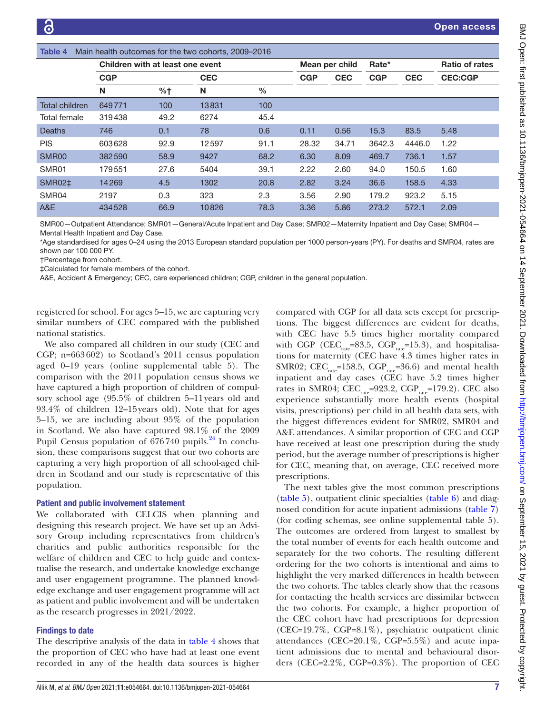<span id="page-6-0"></span>

| Table 4        |                                  |      | Main health outcomes for the two cohorts, 2009-2016 |               |                |            |            |            |                       |
|----------------|----------------------------------|------|-----------------------------------------------------|---------------|----------------|------------|------------|------------|-----------------------|
|                | Children with at least one event |      |                                                     |               | Mean per child |            | Rate*      |            | <b>Ratio of rates</b> |
|                | <b>CGP</b>                       |      | <b>CEC</b>                                          |               | <b>CGP</b>     | <b>CEC</b> | <b>CGP</b> | <b>CEC</b> | <b>CEC:CGP</b>        |
|                | N                                | %†   | N                                                   | $\frac{0}{0}$ |                |            |            |            |                       |
| Total children | 649771                           | 100  | 13831                                               | 100           |                |            |            |            |                       |
| Total female   | 319438                           | 49.2 | 6274                                                | 45.4          |                |            |            |            |                       |
| Deaths         | 746                              | 0.1  | 78                                                  | 0.6           | 0.11           | 0.56       | 15.3       | 83.5       | 5.48                  |
| <b>PIS</b>     | 603628                           | 92.9 | 12597                                               | 91.1          | 28.32          | 34.71      | 3642.3     | 4446.0     | 1.22                  |
| SMR00          | 382590                           | 58.9 | 9427                                                | 68.2          | 6.30           | 8.09       | 469.7      | 736.1      | 1.57                  |
| SMR01          | 179551                           | 27.6 | 5404                                                | 39.1          | 2.22           | 2.60       | 94.0       | 150.5      | 1.60                  |
| <b>SMR02‡</b>  | 14269                            | 4.5  | 1302                                                | 20.8          | 2.82           | 3.24       | 36.6       | 158.5      | 4.33                  |
| SMR04          | 2197                             | 0.3  | 323                                                 | 2.3           | 3.56           | 2.90       | 179.2      | 923.2      | 5.15                  |
| A&E            | 434528                           | 66.9 | 10826                                               | 78.3          | 3.36           | 5.86       | 273.2      | 572.1      | 2.09                  |

SMR00—Outpatient Attendance; SMR01—General/Acute Inpatient and Day Case; SMR02—Maternity Inpatient and Day Case; SMR04— Mental Health Inpatient and Day Case.

\*Age standardised for ages 0–24 using the 2013 European standard population per 1000 person-years (PY). For deaths and SMR04, rates are shown per 100 000 PY.

†Percentage from cohort.

‡Calculated for female members of the cohort.

A&E, Accident & Emergency; CEC, care experienced children; CGP, children in the general population.

registered for school. For ages 5–15, we are capturing very similar numbers of CEC compared with the published national statistics.

We also compared all children in our study (CEC and CGP; n=663602) to Scotland's 2011 census population aged 0–19 years ([online supplemental table 5\)](https://dx.doi.org/10.1136/bmjopen-2021-054664). The comparison with the 2011 population census shows we have captured a high proportion of children of compulsory school age (95.5% of children 5–11years old and 93.4% of children 12–15years old). Note that for ages 5–15, we are including about 95% of the population in Scotland. We also have captured 98.1% of the 2009 Pupil Census population of  $676740$  pupils.<sup>24</sup> In conclusion, these comparisons suggest that our two cohorts are capturing a very high proportion of all school-aged children in Scotland and our study is representative of this population.

# Patient and public involvement statement

We collaborated with CELCIS when planning and designing this research project. We have set up an Advisory Group including representatives from children's charities and public authorities responsible for the welfare of children and CEC to help guide and contextualise the research, and undertake knowledge exchange and user engagement programme. The planned knowledge exchange and user engagement programme will act as patient and public involvement and will be undertaken as the research progresses in 2021/2022.

# Findings to date

The descriptive analysis of the data in [table](#page-6-0) 4 shows that the proportion of CEC who have had at least one event recorded in any of the health data sources is higher

compared with CGP for all data sets except for prescriptions. The biggest differences are evident for deaths, with CEC have 5.5 times higher mortality compared with CGP (CEC<sub>rate</sub>=83.5, CGP<sub>rate</sub>=15.3), and hospitalisations for maternity (CEC have 4.3 times higher rates in SMR02; CEC<sub>rate</sub>=158.5, CGP<sub>rate</sub>=36.6) and mental health inpatient and day cases (CEC have 5.2 times higher rates in SMR04;  $CEC_{\text{rate}} = 923.2$ ,  $CGP_{\text{rate}} = 179.2$ ). CEC also experience substantially more health events (hospital visits, prescriptions) per child in all health data sets, with the biggest differences evident for SMR02, SMR04 and A&E attendances. A similar proportion of CEC and CGP have received at least one prescription during the study period, but the average number of prescriptions is higher for CEC, meaning that, on average, CEC received more prescriptions.

The next tables give the most common prescriptions [\(table](#page-7-0) 5), outpatient clinic specialties [\(table](#page-8-0) 6) and diagnosed condition for acute inpatient admissions ([table](#page-9-0) 7) (for coding schemas, see [online supplemental table 5\)](https://dx.doi.org/10.1136/bmjopen-2021-054664). The outcomes are ordered from largest to smallest by the total number of events for each health outcome and separately for the two cohorts. The resulting different ordering for the two cohorts is intentional and aims to highlight the very marked differences in health between the two cohorts. The tables clearly show that the reasons for contacting the health services are dissimilar between the two cohorts. For example, a higher proportion of the CEC cohort have had prescriptions for depression (CEC=19.7%, CGP=8.1%), psychiatric outpatient clinic attendances (CEC=20.1%, CGP=5.5%) and acute inpatient admissions due to mental and behavioural disorders (CEC=2.2%, CGP=0.3%). The proportion of CEC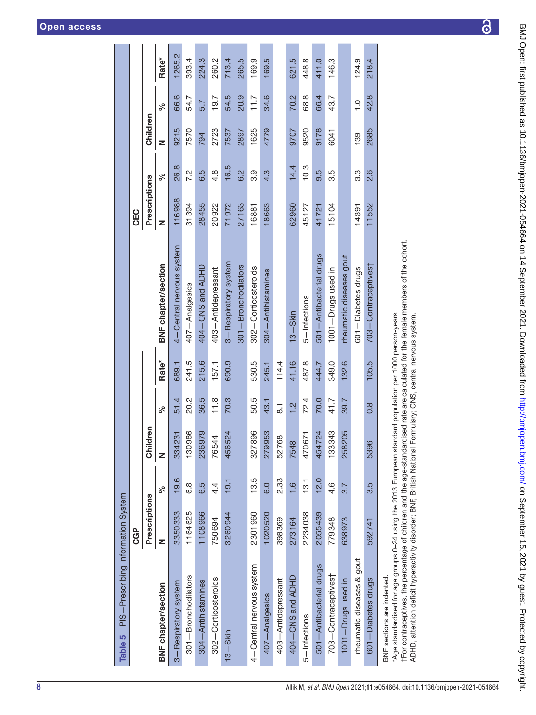|                                                                                                                                       | <b>CGP</b>    |                  |                       |                    |                   |                            | CEC           |                  |          |               |                   |
|---------------------------------------------------------------------------------------------------------------------------------------|---------------|------------------|-----------------------|--------------------|-------------------|----------------------------|---------------|------------------|----------|---------------|-------------------|
|                                                                                                                                       | Prescriptions |                  | Idren<br>ā            |                    |                   |                            | Prescriptions |                  | Children |               |                   |
| <b>BNF</b> chapter/section                                                                                                            | z             | న్               | z                     | ್ಧ                 | Rate <sup>*</sup> | <b>BNF</b> chapter/section | z             | న్               | z        | న్            | Rate <sup>*</sup> |
| 3-Respiratory system                                                                                                                  | 3350333       | 19.6             | 231<br>334            | 51.4               | 689.1             | 4-Central nervous system   | 116988        | 26.8             | 9215     | 66.6          | 1265.2            |
| 301-Bronchodilators                                                                                                                   | 1164625       | 6.8              | 986<br>130            | 20.2               | 241.5             | 407-Analgesics             | 31394         | 7.2              | 7570     | 54.7          | 393.4             |
| 304 - Antihistamines                                                                                                                  | 1108966       | 6.5              | 979<br>236            | 36.5               | 215.6             | 404–CNS and ADHD           | 28455         | 6.5              | 794      | 5.7           | 224.3             |
| 302-Corticosteroids                                                                                                                   | 750694        | 4.               | $\frac{44}{3}$<br>765 | 11.8               | 157.1             | 403-Antidepressant         | 20922         | $4.\overline{8}$ | 2723     | 19.7          | 260.2             |
| $13 - S$ kin                                                                                                                          | 3260944       | 19.1             | 524<br>456            | 70.3               | 690.9             | 3-Respiratory system       | 71972         | 16.5             | 7537     | 54.5          | 713.4             |
|                                                                                                                                       |               |                  |                       |                    |                   | 301-Bronchodilators        | 27163         | 6.2              | 2897     | 20.9          | 265.5             |
| 4-Central nervous system                                                                                                              | 2301960       | 13.5             | 896<br>327            | 50.5               | 530.5             | 302-Corticosteroids        | 16881         | 3.9              | 1625     | 11.7          | 169.9             |
| 407-Analgesics                                                                                                                        | 1020520       | 0.0              | 953<br>279            | 43.1               | 245.1             | 304 - Antihistamines       | 18663         | 4.3              | 4779     | 34.6          | 169.5             |
| 403-Antidepressant                                                                                                                    | 398369        | 2.33             | 68<br>527             | $\overline{\circ}$ | 114.4             |                            |               |                  |          |               |                   |
| 404 – CNS and ADHD                                                                                                                    | 273164        | 1,6              | $\infty$<br>754       | 1.2                | 41.16             | $13 - S$ kin               | 62960         | 14.4             | 9707     | 70.2          | 621.5             |
| 5-Infections                                                                                                                          | 2234038       | 13.1             | 671<br>470            | 72.4               | 487.8             | 5-Infections               | 45127         | 10.3             | 9520     | 68.8          | 448.8             |
| 501 - Antibacterial drugs                                                                                                             | 2055439       | 12.0             | 724<br>454            | 70.0               | 444.7             | 501-Antibacterial drugs    | 41721         | 9.5              | 9178     | 66.4          | 411.0             |
| 703-Contraceptives†                                                                                                                   | 779348        | $4.\overline{6}$ | 343<br>133            | 41.7               | 349.0             | 1001-Drugs used in         | 15104         | 3.5              | 6041     | 43.7          | 146.3             |
| 1001-Drugs used in                                                                                                                    | 638973        | 3.7              | 205<br>258            | 39.7               | 132.6             | rheumatic diseases gout    |               |                  |          |               |                   |
| rheumatic diseases & gout                                                                                                             |               |                  |                       |                    |                   | 601 - Diabetes drugs       | 14391         | 3.3              | 139      | $\frac{0}{1}$ | 124.9             |
| 601-Diabetes drugs                                                                                                                    | 592741        | 3.5              | 5396                  | $0.\overline{8}$   | 105.5             | 703-Contraceptives†        | 11552         | 2.6              | 2685     | 42.8          | 218.4             |
| Age standardised for age groups 0-24 using the 2013 European standard population per 1000 person-years.<br>BNF sections are indented. |               |                  |                       |                    |                   |                            |               |                  |          |               |                   |

<span id="page-7-0"></span>

†For contraceptives, the percentage of children and the age-standardised rate are calculated for the female members of the cohort.<br>ADHD, attention deficit hyperactivity disorder; BNF, British National Formulary; CNS, centr †For contraceptives, the percentage of children and the age-standardised rate are calculated for the female members of the cohort.

ADHD, attention deficit hyperactivity disorder; BNF, British National Formulary; CNS, central nervous system.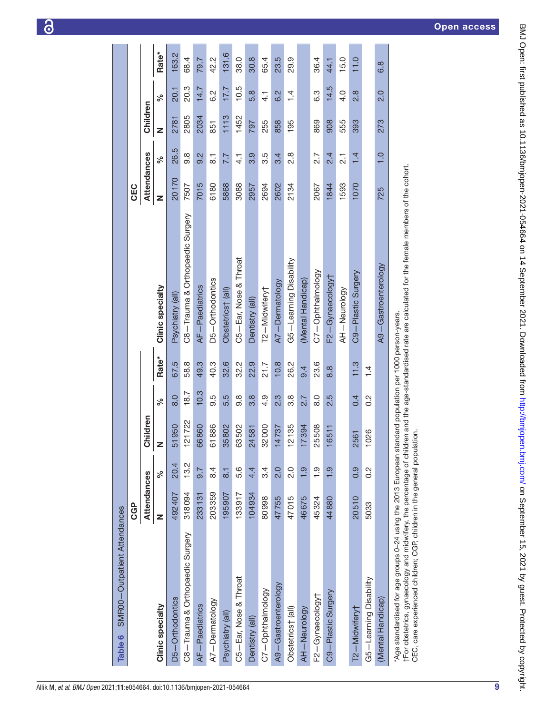| BM/Open: first published as 10.1136/bmjopen-2021-054664 on 14 September 2021. Downloaded from http://bmj |
|----------------------------------------------------------------------------------------------------------|
|                                                                                                          |
|                                                                                                          |
|                                                                                                          |
|                                                                                                          |
|                                                                                                          |
|                                                                                                          |
|                                                                                                          |
|                                                                                                          |
|                                                                                                          |
|                                                                                                          |
|                                                                                                          |
|                                                                                                          |
|                                                                                                          |
|                                                                                                          |
|                                                                                                          |
|                                                                                                          |
| <b>11 2022 - 13 2022 - 13 2022 - 13 2022 - 13 2022</b>                                                   |
|                                                                                                          |
|                                                                                                          |
| くらくにく                                                                                                    |
|                                                                                                          |
|                                                                                                          |
|                                                                                                          |

Table 6 SMR00-Outpatient Attendances

<span id="page-8-0"></span>Table 6

SMR00-Outpatient Attendances

|                                                                                                                                                                                                                                                               | <b>CGP</b>  |                  |                      |                  |               |                                                                                    | CEC                |                  |          |               |       |
|---------------------------------------------------------------------------------------------------------------------------------------------------------------------------------------------------------------------------------------------------------------|-------------|------------------|----------------------|------------------|---------------|------------------------------------------------------------------------------------|--------------------|------------------|----------|---------------|-------|
|                                                                                                                                                                                                                                                               | Attendances |                  | Children             |                  |               |                                                                                    | <b>Attendances</b> |                  | Children |               |       |
| Clinic specialty                                                                                                                                                                                                                                              | Z           | ್ನೇ              | Z                    | ್ನೇ              | Rate*         | Clinic specialty                                                                   | z                  | ್ನೇ              | z        | ್ಧ            | Rate* |
| D5-Orthodontics                                                                                                                                                                                                                                               | 492407      | 20.4             | 50<br>519.           | $\frac{0}{8}$    | 67.5          | Psychiatry (all)                                                                   | 20170              | 26.5             | 2781     | 20.1          | 163.2 |
| C8-Trauma & Orthopaedic Surgery                                                                                                                                                                                                                               | 318094      | 13.2             | 722<br>$\frac{1}{2}$ | 18.7             | 58.8          | C8-Trauma & Orthopaedic Surgery                                                    | 7507               | 9.8              | 2805     | 20.3          | 68.4  |
| AF-Paediatrics                                                                                                                                                                                                                                                | 233131      | $\overline{9.7}$ | 66860                | 10.3             | 49.3          | AF-Paediatrics                                                                     | 7015               | 2.6              | 2034     | 14.7          | 79.7  |
| A7-Dermatology                                                                                                                                                                                                                                                | 203359      | 8.4              | 61886                | 9.S              | 40.3          | D5-Orthodontics                                                                    | 6180               | _<br>∞           | 851      | 6.2           | 42.2  |
| Psychiatry (all)                                                                                                                                                                                                                                              | 195907      | $\overline{8}$ . | 35802                | 5.5              | 32.6          | Obstetrics† (all)                                                                  | 5868               | 7.7              | 1113     | 17.7          | 131.6 |
| C5-Ear, Nose & Throat                                                                                                                                                                                                                                         | 133917      | 5.6              | 63502                | 8.6              | 32.2          | C5-Ear, Nose & Throat                                                              | 3088               | $\frac{1}{4}$    | 1452     | 10.5          | 38.0  |
| Dentistry (all)                                                                                                                                                                                                                                               | 104934      | 4.4              | 24581                | 3.8              | 22.9          | Dentistry (all)                                                                    | 2957               | 3.9              | 797      | 5.8           | 30.8  |
| C7-Ophthalmology                                                                                                                                                                                                                                              | 80998       | 3.4              | 32000                | 4.9              | 21.7          | T2-Midwiferyt                                                                      | 2694               | 3.5              | 255      | $\frac{1}{4}$ | 65.4  |
| A9-Gastroenterology                                                                                                                                                                                                                                           | 47755       | 2.0              | 14737                | 2.3              | 10.8          | A7-Dermatology                                                                     | 2602               | 3.4              | 858      | 6.2           | 23.5  |
| Obstetrics† (all)                                                                                                                                                                                                                                             | 47015       | 2.0              | 12135                | 3.8              | 26.2          | G5-Learning Disability                                                             | 2134               | $\frac{8}{2}$    | 195      | $\frac{1}{4}$ | 29.9  |
| AH-Neurology                                                                                                                                                                                                                                                  | 46675       | $\frac{1}{2}$    | 17394                | 2.7              | 9.4           | (Mental Handicap)                                                                  |                    |                  |          |               |       |
| F2-Gynaecology†                                                                                                                                                                                                                                               | 45324       | $\frac{0}{1}$    | 25508                | $\frac{0}{8}$    | 23.6          | C7-Ophthalmology                                                                   | 2067               | 2.7              | 869      | 6.3           | 36.4  |
| C9-Plastic Surgery                                                                                                                                                                                                                                            | 44880       | $\frac{0}{1}$    | 16511                | 2.5              | 8.8           | F2-Gynaecology†                                                                    | 1844               | 2.4              | 908      | 14.5          | 44.1  |
|                                                                                                                                                                                                                                                               |             |                  |                      |                  |               | AH-Neurology                                                                       | 1593               | $\overline{2}$ . | 555      | $\frac{4}{1}$ | 15.0  |
| T2-Midwiferyt                                                                                                                                                                                                                                                 | 20510       | 0.9              | 2561                 | 0.4              | 11.3          | C9-Plastic Surgery                                                                 | 1070               | $\overline{1}$   | 393      | $\frac{8}{2}$ | 11.0  |
| G5-Learning Disability                                                                                                                                                                                                                                        | 5033        | $\frac{2}{3}$    | 1026                 | $0.\overline{2}$ | $\frac{1}{4}$ |                                                                                    |                    |                  |          |               |       |
| (Mental Handicap)                                                                                                                                                                                                                                             |             |                  |                      |                  |               | A9-Gastroenterology                                                                | 725                | $\frac{0}{1}$    | 273      | $\frac{0}{2}$ | 6.8   |
| "Age standardised for age groups 0-24 using the 2013 European standard population per 1000 person-years.<br>CEC, care experienced children; CGP, children in the general population<br>tFor obstetrics, gynaecology and midwifery, the percentage of children |             |                  |                      |                  |               | and the age-standardised rate are calculated for the female members of the cohort. |                    |                  |          |               |       |

9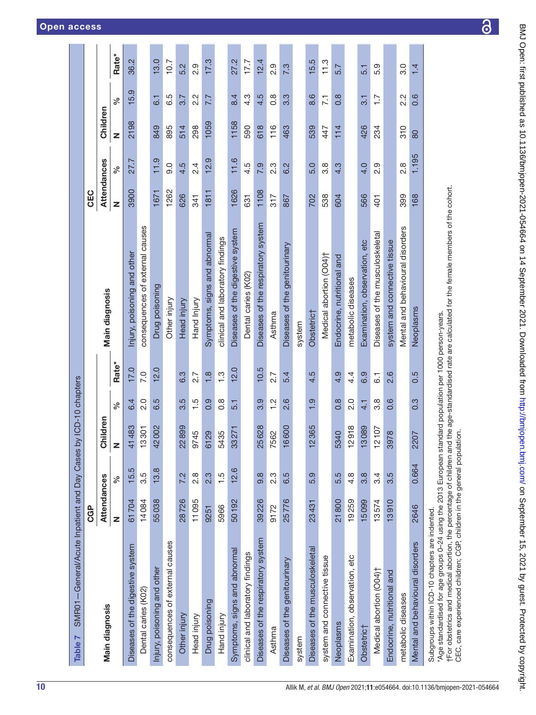<span id="page-9-0"></span>

| SMR01-General/Acute Inpatient and Day Cases by ICD-10 chapters<br>Table 7                                                                                                                                                                                                                                        |             |                  |                       |                                |                  |                                    |                    |                  |          |                  |       |
|------------------------------------------------------------------------------------------------------------------------------------------------------------------------------------------------------------------------------------------------------------------------------------------------------------------|-------------|------------------|-----------------------|--------------------------------|------------------|------------------------------------|--------------------|------------------|----------|------------------|-------|
|                                                                                                                                                                                                                                                                                                                  | <b>CGP</b>  |                  |                       |                                |                  |                                    | CEC                |                  |          |                  |       |
| Main diagnosis                                                                                                                                                                                                                                                                                                   | Attendances |                  | hildren<br>ပ          |                                |                  | Main diagnosis                     | <b>Attendances</b> |                  | Children |                  |       |
|                                                                                                                                                                                                                                                                                                                  | Z           | వ్               | z                     | న్                             | Rate*            |                                    | Z                  | వ్               | Z        | న్               | Rate* |
| Diseases of the digestive system                                                                                                                                                                                                                                                                                 | 61704       | 15.5             | 1483<br>4             | 6.4                            | 17.0             | Injury, poisoning and other        | 3900               | 27.7             | 2198     | 15.9             | 36.2  |
| Dental caries (K02)                                                                                                                                                                                                                                                                                              | 14084       | 3.5              | 3301                  | 2.0                            | 7.0              | consequences of external causes    |                    |                  |          |                  |       |
| Injury, poisoning and other                                                                                                                                                                                                                                                                                      | 55038       | 13.8             | 2002<br>4             | 6.5                            | 12.0             | Drug poisoning                     | 1671               | 11.9             | 849      | $\overline{6}$ . | 13.0  |
| consequences of external causes                                                                                                                                                                                                                                                                                  |             |                  |                       |                                |                  | Other injury                       | 1262               | 0.6              | 895      | 6.5              | 10.7  |
| Other injury                                                                                                                                                                                                                                                                                                     | 28726       | 7.2              | 22899                 | 3.5                            | 6.3              | Head injury                        | 626                | 4.5              | 514      | 3.7              | 5.2   |
| Head injury                                                                                                                                                                                                                                                                                                      | 11095       | $\frac{8}{2}$    | 9745                  | 1.5                            | 2.7              | Hand Injury                        | 341                | 2.4              | 298      | $2.\overline{2}$ | 0.9   |
| Drug poisoning                                                                                                                                                                                                                                                                                                   | 9251        | 2.3              | 6129                  | 0.9                            | $\frac{8}{1}$    | Symptoms, signs and abnormal       | 1811               | 12.9             | 1059     | 7.7              | 17.3  |
| Hand injury                                                                                                                                                                                                                                                                                                      | 5966        | 1.5              | 5435                  | $0.\overline{8}$               | $\frac{3}{1}$    | clinical and laboratory findings   |                    |                  |          |                  |       |
| Symptoms, signs and abnormal                                                                                                                                                                                                                                                                                     | 50192       | 12.6             | 33271                 | 5.1                            | 12.0             | Diseases of the digestive system   | 1626               | 11.6             | 1158     | 8.4              | 27.2  |
| clinical and laboratory findings                                                                                                                                                                                                                                                                                 |             |                  |                       |                                |                  | Dental caries (K02)                | 631                | 4.5              | 590      | $4.\overline{3}$ | 17.7  |
| Diseases of the respiratory system                                                                                                                                                                                                                                                                               | 39226       | 9.8              | 25628                 | 3.9                            | 10.5             | Diseases of the respiratory system | 1108               | 7.9              | 618      | 4.5              | 12.4  |
| Asthma                                                                                                                                                                                                                                                                                                           | 9172        | $2.\overline{3}$ | 562<br>$\overline{ }$ | $\frac{2}{1}$                  | 2.7              | Asthma                             | 317                | $2.\overline{3}$ | 116      | $0.\overline{8}$ | 2.9   |
| Diseases of the genitourinary                                                                                                                                                                                                                                                                                    | 25776       | 6.5              | 6600                  | 2.6                            | 5.4              | Diseases of the genitourinary      | 867                | 6.2              | 463      | 3.3              | 7.3   |
| system                                                                                                                                                                                                                                                                                                           |             |                  |                       |                                |                  | system                             |                    |                  |          |                  |       |
| Diseases of the musculoskeletal                                                                                                                                                                                                                                                                                  | 23431       | 5.9              | 2365<br>┯             | တ္<br>$\overline{\phantom{0}}$ | 4.5              | Obstetric <sup>+</sup>             | 702                | 5.0              | 539      | 8.6              | 15.5  |
| system and connective tissue                                                                                                                                                                                                                                                                                     |             |                  |                       |                                |                  | Medical abortion (O04)†            | 538                | $3.\overline{8}$ | 447      | $\overline{7.1}$ | 11.3  |
| Neoplasms                                                                                                                                                                                                                                                                                                        | 21800       | 5.5              | 5340                  | $\frac{8}{2}$                  | 4.9              | Endocrine, nutritional and         | 604                | 4.3              | 114      | $0.\overline{8}$ | 5.7   |
| Examination, observation, etc                                                                                                                                                                                                                                                                                    | 19259       | $4.\overline{8}$ | 2918                  | 2.0                            | 4.4              | metabolic diseases                 |                    |                  |          |                  |       |
| Obstetric†                                                                                                                                                                                                                                                                                                       | 15099       | 3.8              | 3089                  | 4.1                            | 6.9              | Examination, observation, etc      | 566                | 4.0              | 426      | $\overline{3}$ . | 5.1   |
| Medical abortion (O04)†                                                                                                                                                                                                                                                                                          | 13574       | 3.4              | 2107                  | 3.8                            | $\overline{6}$ . | Diseases of the musculoskeletal    | 401                | 2.9              | 234      | $\overline{1}$ . | 5.9   |
| Endocrine, nutritional and                                                                                                                                                                                                                                                                                       | 13910       | rö<br>က          | 978<br>ဇာ             | 0.6                            | 2.6              | system and connective tissue       |                    |                  |          |                  |       |
| metabolic diseases                                                                                                                                                                                                                                                                                               |             |                  |                       |                                |                  | Mental and behavioural disorders   | 399                | $2.\overline{8}$ | 310      | $2.\overline{2}$ | 3.0   |
| Mental and behavioural disorders                                                                                                                                                                                                                                                                                 | 2646        | 0.664            | 207<br>$\mathbf{a}$   | 0.3                            | 0.5              | Neoplasms                          | 168                | 1.195            | 80       | 0.6              | 1.4   |
| tFor obstetrics and medical abortion, the percentage of children and the age-standardised rate are calculated for the female members of the cohort.<br>Age standardised for age groups 0-24 using the 2013 European standard population per 1000 person-years.<br>Subgroups within ICD-10 chapters are indented. |             |                  |                       |                                |                  |                                    |                    |                  |          |                  |       |

 $\overline{\partial}$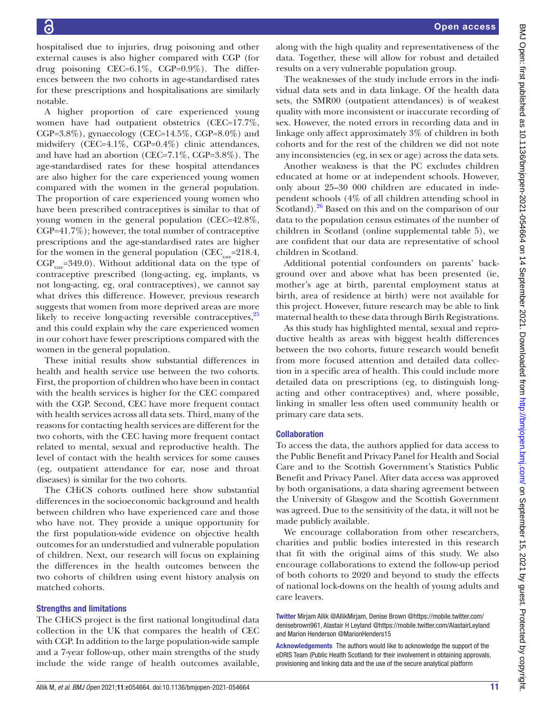hospitalised due to injuries, drug poisoning and other external causes is also higher compared with CGP (for drug poisoning CEC=6.1%, CGP=0.9%). The differences between the two cohorts in age-standardised rates for these prescriptions and hospitalisations are similarly notable.

A higher proportion of care experienced young women have had outpatient obstetrics (CEC=17.7%, CGP=3.8%), gynaecology (CEC=14.5%, CGP=8.0%) and midwifery (CEC=4.1%, CGP=0.4%) clinic attendances, and have had an abortion (CEC=7.1%, CGP=3.8%). The age-standardised rates for these hospital attendances are also higher for the care experienced young women compared with the women in the general population. The proportion of care experienced young women who have been prescribed contraceptives is similar to that of young women in the general population (CEC=42.8%, CGP=41.7%); however, the total number of contraceptive prescriptions and the age-standardised rates are higher for the women in the general population (CEC<sub>rate</sub>=218.4,  $CGP_{rate} = 349.0$ . Without additional data on the type of contraceptive prescribed (long-acting, eg, implants, vs not long-acting, eg, oral contraceptives), we cannot say what drives this difference. However, previous research suggests that women from more deprived areas are more likely to receive long-acting reversible contraceptives,<sup>25</sup> and this could explain why the care experienced women in our cohort have fewer prescriptions compared with the women in the general population.

These initial results show substantial differences in health and health service use between the two cohorts. First, the proportion of children who have been in contact with the health services is higher for the CEC compared with the CGP. Second, CEC have more frequent contact with health services across all data sets. Third, many of the reasons for contacting health services are different for the two cohorts, with the CEC having more frequent contact related to mental, sexual and reproductive health. The level of contact with the health services for some causes (eg, outpatient attendance for ear, nose and throat diseases) is similar for the two cohorts.

The CHiCS cohorts outlined here show substantial differences in the socioeconomic background and health between children who have experienced care and those who have not. They provide a unique opportunity for the first population-wide evidence on objective health outcomes for an understudied and vulnerable population of children. Next, our research will focus on explaining the differences in the health outcomes between the two cohorts of children using event history analysis on matched cohorts.

# Strengths and limitations

The CHiCS project is the first national longitudinal data collection in the UK that compares the health of CEC with CGP. In addition to the large population-wide sample and a 7-year follow-up, other main strengths of the study include the wide range of health outcomes available,

along with the high quality and representativeness of the data. Together, these will allow for robust and detailed results on a very vulnerable population group.

The weaknesses of the study include errors in the individual data sets and in data linkage. Of the health data sets, the SMR00 (outpatient attendances) is of weakest quality with more inconsistent or inaccurate recording of sex. However, the noted errors in recording data and in linkage only affect approximately 3% of children in both cohorts and for the rest of the children we did not note any inconsistencies (eg, in sex or age) across the data sets.

Another weakness is that the PC excludes children educated at home or at independent schools. However, only about 25–30 000 children are educated in independent schools (4% of all children attending school in Scotland). $^{26}$  Based on this and on the comparison of our data to the population census estimates of the number of children in Scotland ([online supplemental table 5](https://dx.doi.org/10.1136/bmjopen-2021-054664)), we are confident that our data are representative of school children in Scotland.

Additional potential confounders on parents' background over and above what has been presented (ie, mother's age at birth, parental employment status at birth, area of residence at birth) were not available for this project. However, future research may be able to link maternal health to these data through Birth Registrations.

As this study has highlighted mental, sexual and reproductive health as areas with biggest health differences between the two cohorts, future research would benefit from more focused attention and detailed data collection in a specific area of health. This could include more detailed data on prescriptions (eg, to distinguish longacting and other contraceptives) and, where possible, linking in smaller less often used community health or primary care data sets.

# **Collaboration**

To access the data, the authors applied for data access to the Public Benefit and Privacy Panel for Health and Social Care and to the Scottish Government's Statistics Public Benefit and Privacy Panel. After data access was approved by both organisations, a data sharing agreement between the University of Glasgow and the Scottish Government was agreed. Due to the sensitivity of the data, it will not be made publicly available.

We encourage collaboration from other researchers, charities and public bodies interested in this research that fit with the original aims of this study. We also encourage collaborations to extend the follow-up period of both cohorts to 2020 and beyond to study the effects of national lock-downs on the health of young adults and care leavers.

Twitter Mirjam Allik [@AllikMirjam,](https://twitter.com/AllikMirjam) Denise Brown [@https://mobile.twitter.com/](https://twitter.com/https://mobile.twitter.com/denisebrown961) [denisebrown961](https://twitter.com/https://mobile.twitter.com/denisebrown961), Alastair H Leyland [@https://mobile.twitter.com/AlastairLeyland](https://twitter.com/https://mobile.twitter.com/AlastairLeyland) and Marion Henderson [@MarionHenders15](https://twitter.com/MarionHenders15)

Acknowledgements The authors would like to acknowledge the support of the eDRIS Team (Public Health Scotland) for their involvement in obtaining approvals, provisioning and linking data and the use of the secure analytical platform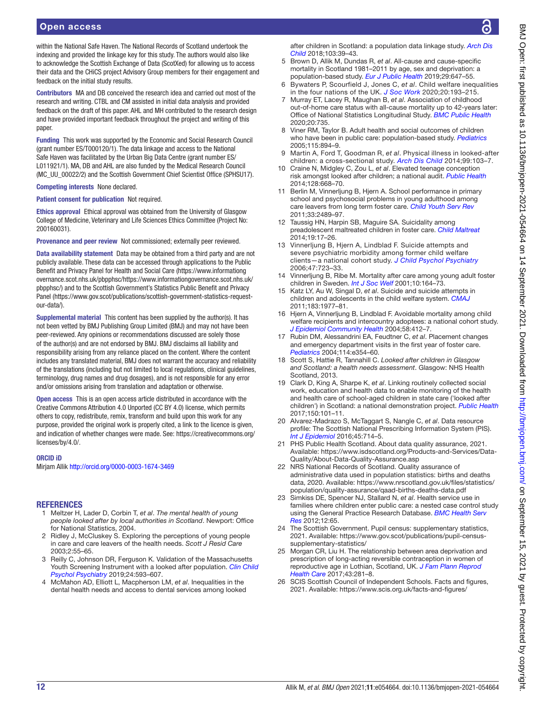# Open access

within the National Safe Haven. The National Records of Scotland undertook the indexing and provided the linkage key for this study. The authors would also like to acknowledge the Scottish Exchange of Data (ScotXed) for allowing us to access their data and the CHiCS project Advisory Group members for their engagement and feedback on the initial study results.

Contributors MA and DB conceived the research idea and carried out most of the research and writing. CTBL and CM assisted in initial data analysis and provided feedback on the draft of this paper. AHL and MH contributed to the research design and have provided important feedback throughout the project and writing of this paper.

Funding This work was supported by the Economic and Social Research Council (grant number ES/T000120/1). The data linkage and access to the National Safe Haven was facilitated by the Urban Big Data Centre (grant number ES/ L011921/1). MA, DB and AHL are also funded by the Medical Research Council (MC\_UU\_00022/2) and the Scottish Government Chief Scientist Office (SPHSU17).

Competing interests None declared.

Patient consent for publication Not required.

Ethics approval Ethical approval was obtained from the University of Glasgow College of Medicine, Veterinary and Life Sciences Ethics Committee (Project No: 200160031).

Provenance and peer review Not commissioned; externally peer reviewed.

Data availability statement Data may be obtained from a third party and are not publicly available. These data can be accessed through applications to the Public Benefit and Privacy Panel for Health and Social Care ([https://www.informationg](https://www.informationgovernance.scot.nhs.uk/pbpphsc/) [overnance.scot.nhs.uk/pbpphsc/https://www.informationgovernance.scot.nhs.uk/](https://www.informationgovernance.scot.nhs.uk/pbpphsc/) [pbpphsc/\)](https://www.informationgovernance.scot.nhs.uk/pbpphsc/) and to the Scottish Government's Statistics Public Benefit and Privacy Panel [\(https://www.gov.scot/publications/scottish-government-statistics-request](https://www.gov.scot/publications/scottish-government-statistics-request-our-data/)[our-data/\)](https://www.gov.scot/publications/scottish-government-statistics-request-our-data/).

Supplemental material This content has been supplied by the author(s). It has not been vetted by BMJ Publishing Group Limited (BMJ) and may not have been peer-reviewed. Any opinions or recommendations discussed are solely those of the author(s) and are not endorsed by BMJ. BMJ disclaims all liability and responsibility arising from any reliance placed on the content. Where the content includes any translated material, BMJ does not warrant the accuracy and reliability of the translations (including but not limited to local regulations, clinical guidelines, terminology, drug names and drug dosages), and is not responsible for any error and/or omissions arising from translation and adaptation or otherwise.

Open access This is an open access article distributed in accordance with the Creative Commons Attribution 4.0 Unported (CC BY 4.0) license, which permits others to copy, redistribute, remix, transform and build upon this work for any purpose, provided the original work is properly cited, a link to the licence is given, and indication of whether changes were made. See: [https://creativecommons.org/](https://creativecommons.org/licenses/by/4.0/) [licenses/by/4.0/.](https://creativecommons.org/licenses/by/4.0/)

#### ORCID iD

Mirjam Allik<http://orcid.org/0000-0003-1674-3469>

#### **REFERENCES**

- <span id="page-11-0"></span>1 Meltzer H, Lader D, Corbin T, *et al*. *The mental health of young people looked after by local authorities in Scotland*. Newport: Office for National Statistics, 2004.
- <span id="page-11-1"></span>2 Ridley J, McCluskey S. Exploring the perceptions of young people in care and care leavers of the health needs. *Scott J Resid Care* 2003;2:55–65.
- 3 Reilly C, Johnson DR, Ferguson K. Validation of the Massachusetts Youth Screening Instrument with a looked after population. *[Clin Child](http://dx.doi.org/10.1177/1359104518799119)  [Psychol Psychiatry](http://dx.doi.org/10.1177/1359104518799119)* 2019;24:593–607.
- <span id="page-11-2"></span>4 McMahon AD, Elliott L, Macpherson LM, *et al*. Inequalities in the dental health needs and access to dental services among looked

after children in Scotland: a population data linkage study. *[Arch Dis](http://dx.doi.org/10.1136/archdischild-2016-312389)  [Child](http://dx.doi.org/10.1136/archdischild-2016-312389)* 2018;103:39–43.

- <span id="page-11-3"></span>5 Brown D, Allik M, Dundas R, *et al*. All-cause and cause-specific mortality in Scotland 1981–2011 by age, sex and deprivation: a population-based study. *[Eur J Public Health](http://dx.doi.org/10.1093/eurpub/ckz010)* 2019;29:647–55.
- <span id="page-11-4"></span>6 Bywaters P, Scourfield J, Jones C, *et al*. Child welfare inequalities in the four nations of the UK. *[J Soc Work](http://dx.doi.org/10.1177/1468017318793479)* 2020;20:193–215.
- <span id="page-11-5"></span>7 Murray ET, Lacey R, Maughan B, *et al*. Association of childhood out-of-home care status with all-cause mortality up to 42-years later: Office of National Statistics Longitudinal Study. *[BMC Public Health](http://dx.doi.org/10.1186/s12889-020-08867-3)* 2020;20:735.
- <span id="page-11-6"></span>8 Viner RM, Taylor B. Adult health and social outcomes of children who have been in public care: population-based study. *[Pediatrics](http://dx.doi.org/10.1542/peds.2004-1311)* 2005;115:894–9.
- <span id="page-11-7"></span>9 Martin A, Ford T, Goodman R, *et al*. Physical illness in looked-after children: a cross-sectional study. *[Arch Dis Child](http://dx.doi.org/10.1136/archdischild-2013-303993)* 2014;99:103–7.
- <span id="page-11-8"></span>10 Craine N, Midgley C, Zou L, *et al*. Elevated teenage conception risk amongst looked after children; a national audit. *[Public Health](http://dx.doi.org/10.1016/j.puhe.2014.05.008)* 2014;128:668–70.
- <span id="page-11-9"></span>11 Berlin M, Vinnerljung B, Hjern A. School performance in primary school and psychosocial problems in young adulthood among care leavers from long term foster care. *[Child Youth Serv Rev](http://dx.doi.org/10.1016/j.childyouth.2011.08.024)* 2011;33:2489–97.
- 12 Taussig HN, Harpin SB, Maguire SA. Suicidality among preadolescent maltreated children in foster care. *[Child Maltreat](http://dx.doi.org/10.1177/1077559514525503)* 2014;19:17–26.
- 13 Vinnerljung B, Hjern A, Lindblad F. Suicide attempts and severe psychiatric morbidity among former child welfare clients—a national cohort study. *[J Child Psychol Psychiatry](http://dx.doi.org/10.1111/j.1469-7610.2005.01530.x)* 2006;47:723–33.
- 14 Vinnerljung B, Ribe M. Mortality after care among young adult foster children in Sweden. *[Int J Soc Welf](http://dx.doi.org/10.1111/1468-2397.00169)* 2001;10:164–73.
- 15 Katz LY, Au W, Singal D, *et al*. Suicide and suicide attempts in children and adolescents in the child welfare system. *[CMAJ](http://dx.doi.org/10.1503/cmaj.110749)* 2011;183:1977–81.
- <span id="page-11-10"></span>16 Hjern A, Vinnerljung B, Lindblad F. Avoidable mortality among child welfare recipients and intercountry adoptees: a national cohort study. *[J Epidemiol Community Health](http://dx.doi.org/10.1136/jech.2003.014282)* 2004;58:412–7.
- <span id="page-11-11"></span>17 Rubin DM, Alessandrini EA, Feudtner C, *et al*. Placement changes and emergency department visits in the first year of foster care. *[Pediatrics](http://dx.doi.org/10.1542/peds.2003-0594-F)* 2004;114:e354–60.
- <span id="page-11-12"></span>18 Scott S, Hattie R, Tannahill C. *Looked after children in Glasgow and Scotland: a health needs assessment*. Glasgow: NHS Health Scotland, 2013.
- <span id="page-11-13"></span>19 Clark D, King A, Sharpe K, *et al*. Linking routinely collected social work, education and health data to enable monitoring of the health and health care of school-aged children in state care ('looked after children') in Scotland: a national demonstration project. *[Public Health](http://dx.doi.org/10.1016/j.puhe.2017.05.003)* 2017;150:101–11.
- <span id="page-11-14"></span>20 Alvarez-Madrazo S, McTaggart S, Nangle C, *et al*. Data resource profile: The Scottish National Prescribing Information System (PIS). *[Int J Epidemiol](http://dx.doi.org/10.1093/ije/dyw060)* 2016;45:714–5.
- 21 PHS Public Health Scotland. About data quality assurance, 2021. Available: [https://www.isdscotland.org/Products-and-Services/Data-](https://www.isdscotland.org/Products-and-Services/Data-Quality/About-Data-Quality-Assurance.asp)[Quality/About-Data-Quality-Assurance.asp](https://www.isdscotland.org/Products-and-Services/Data-Quality/About-Data-Quality-Assurance.asp)
- 22 NRS National Records of Scotland. Quality assurance of administrative data used in population statistics: births and deaths data, 2020. Available: [https://www.nrscotland.gov.uk/files/statistics/](https://www.nrscotland.gov.uk/files/statistics/population/quality-assurance/qaad-births-deaths-data.pdf) [population/quality-assurance/qaad-births-deaths-data.pdf](https://www.nrscotland.gov.uk/files/statistics/population/quality-assurance/qaad-births-deaths-data.pdf)
- <span id="page-11-15"></span>23 Simkiss DE, Spencer NJ, Stallard N, *et al*. Health service use in families where children enter public care: a nested case control study using the General Practice Research Database. *[BMC Health Serv](http://dx.doi.org/10.1186/1472-6963-12-65)  [Res](http://dx.doi.org/10.1186/1472-6963-12-65)* 2012;12:65.
- <span id="page-11-16"></span>24 The Scottish Government. Pupil census: supplementary statistics, 2021. Available: [https://www.gov.scot/publications/pupil-census](https://www.gov.scot/publications/pupil-census-supplementary-statistics/)[supplementary-statistics/](https://www.gov.scot/publications/pupil-census-supplementary-statistics/)
- <span id="page-11-17"></span>25 Morgan CR, Liu H. The relationship between area deprivation and prescription of long-acting reversible contraception in women of reproductive age in Lothian, Scotland, UK. *[J Fam Plann Reprod](http://dx.doi.org/10.1136/jfprhc-2016-101553)  [Health Care](http://dx.doi.org/10.1136/jfprhc-2016-101553)* 2017;43:281–8.
- <span id="page-11-18"></span>26 SCIS Scottish Council of Independent Schools. Facts and figures, 2021. Available: <https://www.scis.org.uk/facts-and-figures/>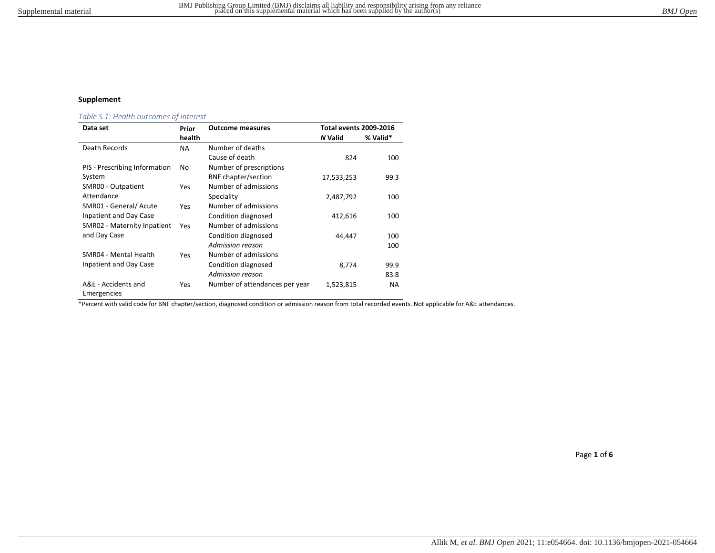## Supplement

# Table S.1: Health outcomes of interest

| Data set                           | Prior     | <b>Outcome measures</b>        | <b>Total events 2009-2016</b> |          |
|------------------------------------|-----------|--------------------------------|-------------------------------|----------|
|                                    | health    |                                | <b>N</b> Valid                | % Valid* |
| Death Records                      | <b>NA</b> | Number of deaths               |                               |          |
|                                    |           | Cause of death                 | 824                           | 100      |
| PIS - Prescribing Information      | No        | Number of prescriptions        |                               |          |
| System                             |           | <b>BNF</b> chapter/section     | 17,533,253                    | 99.3     |
| SMR00 - Outpatient                 | Yes       | Number of admissions           |                               |          |
| Attendance                         |           | Speciality                     | 2,487,792                     | 100      |
| SMR01 - General/ Acute             | Yes       | Number of admissions           |                               |          |
| Inpatient and Day Case             |           | Condition diagnosed            | 412,616                       | 100      |
| SMR02 - Maternity Inpatient        | Yes       | Number of admissions           |                               |          |
| and Day Case                       |           | Condition diagnosed            | 44,447                        | 100      |
|                                    |           | Admission reason               |                               | 100      |
| SMR04 - Mental Health              | Yes       | Number of admissions           |                               |          |
| Inpatient and Day Case             |           | Condition diagnosed            | 8,774                         | 99.9     |
|                                    |           | Admission reason               |                               | 83.8     |
| A&E - Accidents and<br>Emergencies | Yes       | Number of attendances per year | 1,523,815                     | NA.      |

\*Percent with valid code for BNF chapter/section, diagnosed condition or admission reason from total recorded events. Not applicable for A&E attendances.

Page 1 of 6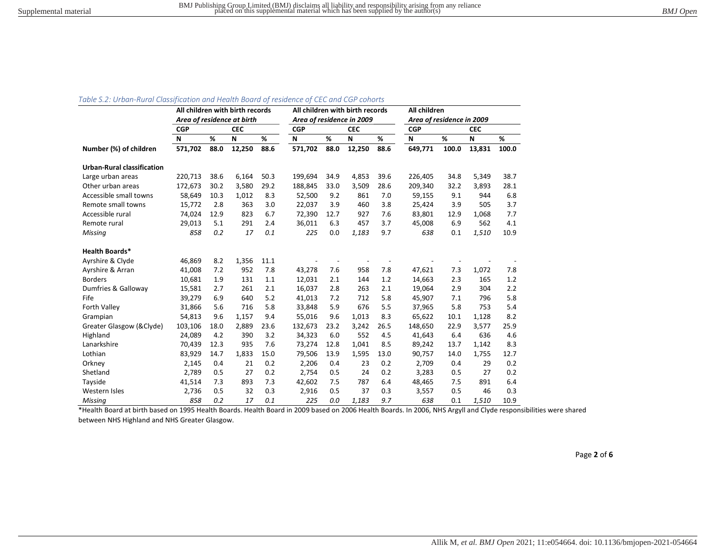#### Table S.2: Urban-Rural Classification and Health Board of residence of CEC and CGP cohorts

|                                   | All children with birth records |      |            |      |                           |      | All children with birth records |      | All children              |       |            |       |
|-----------------------------------|---------------------------------|------|------------|------|---------------------------|------|---------------------------------|------|---------------------------|-------|------------|-------|
|                                   | Area of residence at birth      |      |            |      | Area of residence in 2009 |      |                                 |      | Area of residence in 2009 |       |            |       |
|                                   | <b>CGP</b>                      |      | <b>CEC</b> |      | <b>CGP</b>                |      | <b>CEC</b>                      |      | <b>CGP</b>                |       | <b>CEC</b> |       |
|                                   | N                               | %    | N          | %    | N                         | %    | N                               | %    | N                         | %     | N          | %     |
| Number (%) of children            | 571,702                         | 88.0 | 12,250     | 88.6 | 571,702                   | 88.0 | 12,250                          | 88.6 | 649,771                   | 100.0 | 13,831     | 100.0 |
| <b>Urban-Rural classification</b> |                                 |      |            |      |                           |      |                                 |      |                           |       |            |       |
| Large urban areas                 | 220,713                         | 38.6 | 6,164      | 50.3 | 199,694                   | 34.9 | 4,853                           | 39.6 | 226,405                   | 34.8  | 5,349      | 38.7  |
| Other urban areas                 | 172,673                         | 30.2 | 3,580      | 29.2 | 188,845                   | 33.0 | 3,509                           | 28.6 | 209,340                   | 32.2  | 3,893      | 28.1  |
| Accessible small towns            | 58,649                          | 10.3 | 1,012      | 8.3  | 52,500                    | 9.2  | 861                             | 7.0  | 59,155                    | 9.1   | 944        | 6.8   |
| Remote small towns                | 15,772                          | 2.8  | 363        | 3.0  | 22,037                    | 3.9  | 460                             | 3.8  | 25,424                    | 3.9   | 505        | 3.7   |
| Accessible rural                  | 74,024                          | 12.9 | 823        | 6.7  | 72,390                    | 12.7 | 927                             | 7.6  | 83,801                    | 12.9  | 1,068      | 7.7   |
| Remote rural                      | 29,013                          | 5.1  | 291        | 2.4  | 36,011                    | 6.3  | 457                             | 3.7  | 45,008                    | 6.9   | 562        | 4.1   |
| Missing                           | 858                             | 0.2  | 17         | 0.1  | 225                       | 0.0  | 1,183                           | 9.7  | 638                       | 0.1   | 1,510      | 10.9  |
| <b>Health Boards*</b>             |                                 |      |            |      |                           |      |                                 |      |                           |       |            |       |
| Ayrshire & Clyde                  | 46,869                          | 8.2  | 1,356      | 11.1 |                           |      |                                 |      |                           |       |            |       |
| Ayrshire & Arran                  | 41,008                          | 7.2  | 952        | 7.8  | 43,278                    | 7.6  | 958                             | 7.8  | 47,621                    | 7.3   | 1,072      | 7.8   |
| <b>Borders</b>                    | 10,681                          | 1.9  | 131        | 1.1  | 12,031                    | 2.1  | 144                             | 1.2  | 14,663                    | 2.3   | 165        | 1.2   |
| Dumfries & Galloway               | 15,581                          | 2.7  | 261        | 2.1  | 16,037                    | 2.8  | 263                             | 2.1  | 19,064                    | 2.9   | 304        | 2.2   |
| Fife                              | 39,279                          | 6.9  | 640        | 5.2  | 41,013                    | 7.2  | 712                             | 5.8  | 45,907                    | 7.1   | 796        | 5.8   |
| <b>Forth Valley</b>               | 31,866                          | 5.6  | 716        | 5.8  | 33,848                    | 5.9  | 676                             | 5.5  | 37,965                    | 5.8   | 753        | 5.4   |
| Grampian                          | 54,813                          | 9.6  | 1,157      | 9.4  | 55,016                    | 9.6  | 1,013                           | 8.3  | 65,622                    | 10.1  | 1,128      | 8.2   |
| Greater Glasgow (& Clyde)         | 103,106                         | 18.0 | 2,889      | 23.6 | 132,673                   | 23.2 | 3,242                           | 26.5 | 148,650                   | 22.9  | 3,577      | 25.9  |
| Highland                          | 24,089                          | 4.2  | 390        | 3.2  | 34,323                    | 6.0  | 552                             | 4.5  | 41,643                    | 6.4   | 636        | 4.6   |
| Lanarkshire                       | 70,439                          | 12.3 | 935        | 7.6  | 73,274                    | 12.8 | 1,041                           | 8.5  | 89,242                    | 13.7  | 1,142      | 8.3   |
| Lothian                           | 83,929                          | 14.7 | 1,833      | 15.0 | 79,506                    | 13.9 | 1,595                           | 13.0 | 90,757                    | 14.0  | 1,755      | 12.7  |
| Orkney                            | 2,145                           | 0.4  | 21         | 0.2  | 2,206                     | 0.4  | 23                              | 0.2  | 2,709                     | 0.4   | 29         | 0.2   |
| Shetland                          | 2,789                           | 0.5  | 27         | 0.2  | 2,754                     | 0.5  | 24                              | 0.2  | 3,283                     | 0.5   | 27         | 0.2   |
| Tayside                           | 41,514                          | 7.3  | 893        | 7.3  | 42,602                    | 7.5  | 787                             | 6.4  | 48,465                    | 7.5   | 891        | 6.4   |
| Western Isles                     | 2,736                           | 0.5  | 32         | 0.3  | 2,916                     | 0.5  | 37                              | 0.3  | 3,557                     | 0.5   | 46         | 0.3   |
| Missing                           | 858                             | 0.2  | 17         | 0.1  | 225                       | 0.0  | 1,183                           | 9.7  | 638                       | 0.1   | 1,510      | 10.9  |

\*Health Board at birth based on 1995 Health Boards. Health Board in 2009 based on 2006 Health Boards. In 2006, NHS Argyll and Clyde responsibilities were shared between NHS Highland and NHS Greater Glasgow.

Page 2 of 6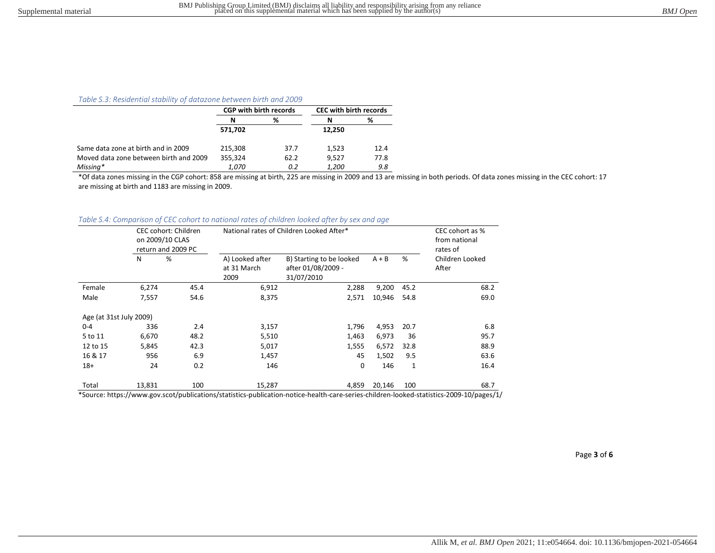#### Table S.3: Residential stability of datazone between birth and 2009

|                                        |         | <b>CGP with birth records</b> | <b>CEC with birth records</b> |      |
|----------------------------------------|---------|-------------------------------|-------------------------------|------|
|                                        | N       | %                             | N                             | ℅    |
|                                        | 571,702 |                               | 12.250                        |      |
| Same data zone at birth and in 2009    | 215,308 | 37.7                          | 1.523                         | 12.4 |
| Moved data zone between birth and 2009 | 355.324 | 62.2                          | 9.527                         | 77.8 |
| Missing*                               | 1.070   | 0.2                           | <i>1,200</i>                  | 9.8  |

\*Of data zones missing in the CGP cohort: 858 are missing at birth, 225 are missing in 2009 and 13 are missing in both periods. Of data zones missing in the CEC cohort: 17 are missing at birth and 1183 are missing in 2009.

| Table S.4: Comparison of CEC cohort to national rates of children looked after by sex and age |  |  |  |  |  |
|-----------------------------------------------------------------------------------------------|--|--|--|--|--|
|                                                                                               |  |  |  |  |  |

|                         |        | CEC cohort: Children<br>on 2009/10 CLAS<br>return and 2009 PC |                                        | National rates of Children Looked After*                     | CEC cohort as %<br>from national<br>rates of |      |                          |
|-------------------------|--------|---------------------------------------------------------------|----------------------------------------|--------------------------------------------------------------|----------------------------------------------|------|--------------------------|
|                         | N      | %                                                             | A) Looked after<br>at 31 March<br>2009 | B) Starting to be looked<br>after 01/08/2009 -<br>31/07/2010 | $A + B$                                      | %    | Children Looked<br>After |
| Female                  | 6,274  | 45.4                                                          | 6,912                                  | 2,288                                                        | 9,200                                        | 45.2 | 68.2                     |
| Male                    | 7,557  | 54.6                                                          | 8,375                                  | 2,571                                                        | 10,946                                       | 54.8 | 69.0                     |
| Age (at 31st July 2009) |        |                                                               |                                        |                                                              |                                              |      |                          |
| $0 - 4$                 | 336    | 2.4                                                           | 3,157                                  | 1,796                                                        | 4,953                                        | 20.7 | 6.8                      |
| 5 to 11                 | 6,670  | 48.2                                                          | 5,510                                  | 1,463                                                        | 6,973                                        | 36   | 95.7                     |
| 12 to 15                | 5,845  | 42.3                                                          | 5,017                                  | 1,555                                                        | 6,572                                        | 32.8 | 88.9                     |
| 16 & 17                 | 956    | 6.9                                                           | 1,457                                  | 45                                                           | 1,502                                        | 9.5  | 63.6                     |
| $18+$                   | 24     | 0.2                                                           | 146                                    | 0                                                            | 146                                          | 1    | 16.4                     |
| Total                   | 13,831 | 100                                                           | 15,287                                 | 4,859                                                        | 20,146                                       | 100  | 68.7                     |

\*Source: https://www.gov.scot/publications/statistics-publication-notice-health-care-series-children-looked-statistics-2009-10/pages/1/

Page 3 of 6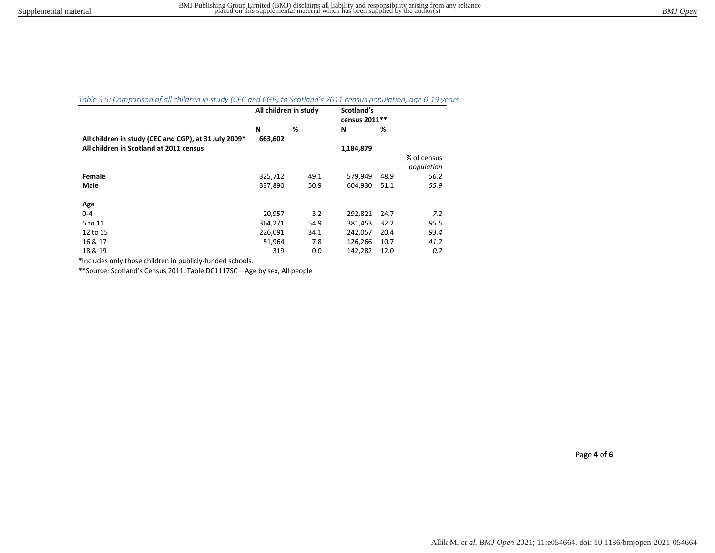# Table S.5: Comparison of all children in study (CEC and CGP) to Scotland's 2011 census population, age 0-19 years

|                                                       | All children in study |      | Scotland's<br>census 2011** |      |             |
|-------------------------------------------------------|-----------------------|------|-----------------------------|------|-------------|
|                                                       | N                     | %    | N                           | %    |             |
| All children in study (CEC and CGP), at 31 July 2009* | 663,602               |      |                             |      |             |
| All children in Scotland at 2011 census               |                       |      | 1,184,879                   |      |             |
|                                                       |                       |      |                             |      | % of census |
|                                                       |                       |      |                             |      | population  |
| Female                                                | 325,712               | 49.1 | 579,949                     | 48.9 | 56.2        |
| Male                                                  | 337,890               | 50.9 | 604,930                     | 51.1 | 55.9        |
|                                                       |                       |      |                             |      |             |
| Age                                                   |                       |      |                             |      |             |
| $0 - 4$                                               | 20,957                | 3.2  | 292,821                     | 24.7 | 7.2         |
| 5 to 11                                               | 364,271               | 54.9 | 381,453                     | 32.2 | 95.5        |
| 12 to 15                                              | 226,091               | 34.1 | 242,057                     | 20.4 | 93.4        |
| 16 & 17                                               | 51,964                | 7.8  | 126,266                     | 10.7 | 41.2        |
| 18 & 19                                               | 319                   | 0.0  | 142,282                     | 12.0 | 0.2         |

\*Includes only those children in publicly-funded schools.

\*\*Source: Scotland's Census 2011. Table DC1117SC – Age by sex, All people

Page 4 of 6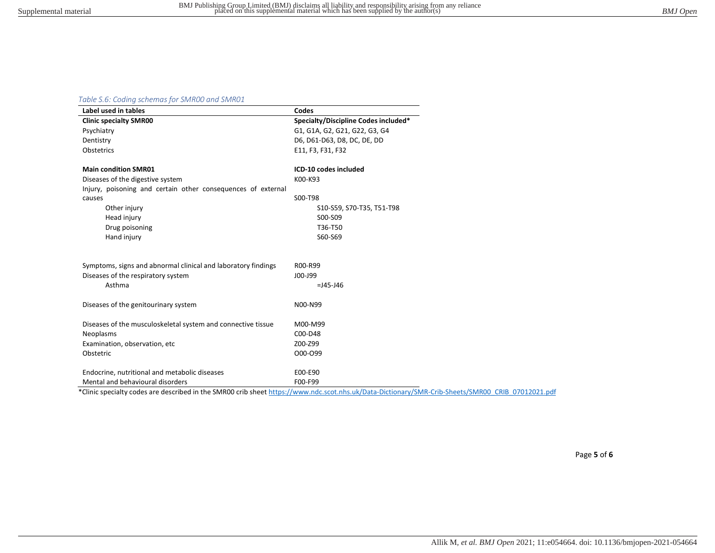## Table S.6: Coding schemas for SMR00 and SMR01

| Label used in tables                                          | Codes                                |
|---------------------------------------------------------------|--------------------------------------|
| <b>Clinic specialty SMR00</b>                                 | Specialty/Discipline Codes included* |
| Psychiatry                                                    | G1, G1A, G2, G21, G22, G3, G4        |
| Dentistry                                                     | D6, D61-D63, D8, DC, DE, DD          |
| Obstetrics                                                    | E11, F3, F31, F32                    |
| <b>Main condition SMR01</b>                                   | ICD-10 codes included                |
| Diseases of the digestive system                              | K00-K93                              |
| Injury, poisoning and certain other consequences of external  |                                      |
| causes                                                        | S00-T98                              |
| Other injury                                                  | S10-S59, S70-T35, T51-T98            |
| Head injury                                                   | S00-S09                              |
| Drug poisoning                                                | T36-T50                              |
| Hand injury                                                   | S60-S69                              |
| Symptoms, signs and abnormal clinical and laboratory findings | R00-R99                              |
| Diseases of the respiratory system                            | J00-J99                              |
| Asthma                                                        | $=$ J45-J46                          |
| Diseases of the genitourinary system                          | N00-N99                              |
| Diseases of the musculoskeletal system and connective tissue  | M00-M99                              |
| Neoplasms                                                     | C00-D48                              |
| Examination, observation, etc                                 | Z00-Z99                              |
| Obstetric                                                     | O00-O99                              |
| Endocrine, nutritional and metabolic diseases                 | E00-E90                              |
| Mental and behavioural disorders                              | F00-F99                              |

\*Clinic specialty codes are described in the SMR00 crib sheet https://www.ndc.scot.nhs.uk/Data-Dictionary/SMR-Crib-Sheets/SMR00\_CRIB\_07012021.pdf

Page 5 of 6